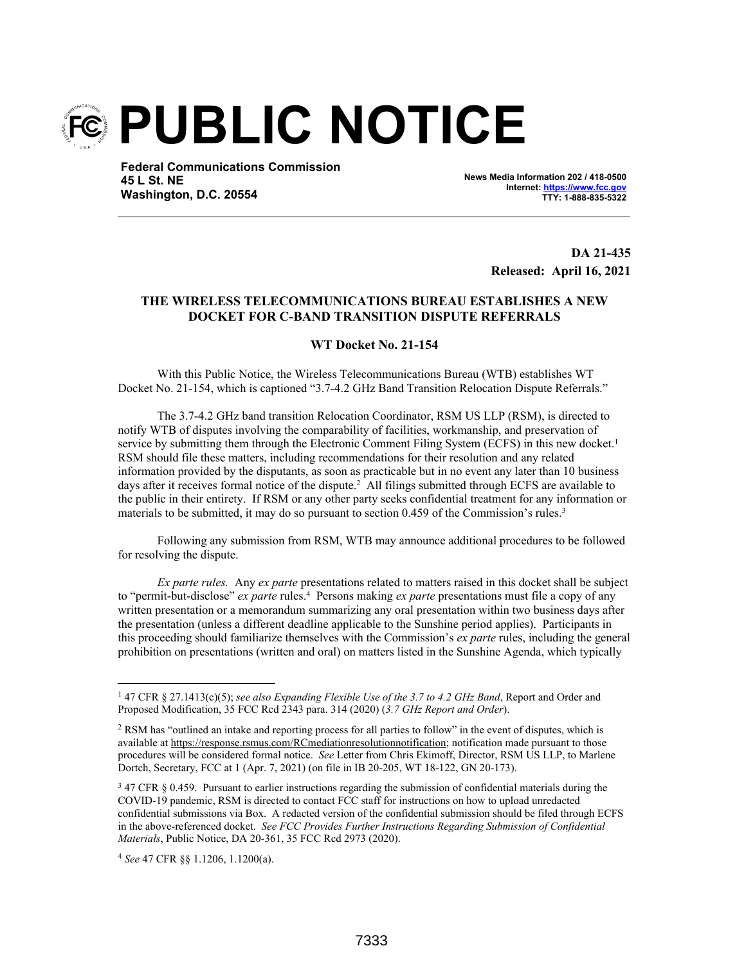

**Federal Communications Commission 45 L St. NE Washington, D.C. 20554**

**News Media Information 202 / 418-0500 Internet: https://www.fcc.gov TTY: 1-888-835-5322**

> **DA 21-435 Released: April 16, 2021**

## **THE WIRELESS TELECOMMUNICATIONS BUREAU ESTABLISHES A NEW DOCKET FOR C-BAND TRANSITION DISPUTE REFERRALS**

## **WT Docket No. 21-154**

With this Public Notice, the Wireless Telecommunications Bureau (WTB) establishes WT Docket No. 21-154, which is captioned "3.7-4.2 GHz Band Transition Relocation Dispute Referrals."

The 3.7-4.2 GHz band transition Relocation Coordinator, RSM US LLP (RSM), is directed to notify WTB of disputes involving the comparability of facilities, workmanship, and preservation of service by submitting them through the Electronic Comment Filing System (ECFS) in this new docket.<sup>1</sup> RSM should file these matters, including recommendations for their resolution and any related information provided by the disputants, as soon as practicable but in no event any later than 10 business days after it receives formal notice of the dispute.<sup>2</sup> All filings submitted through ECFS are available to the public in their entirety. If RSM or any other party seeks confidential treatment for any information or materials to be submitted, it may do so pursuant to section 0.459 of the Commission's rules.<sup>3</sup>

Following any submission from RSM, WTB may announce additional procedures to be followed for resolving the dispute.

*Ex parte rules.* Any *ex parte* presentations related to matters raised in this docket shall be subject to "permit-but-disclose" *ex parte* rules.<sup>4</sup> Persons making *ex parte* presentations must file a copy of any written presentation or a memorandum summarizing any oral presentation within two business days after the presentation (unless a different deadline applicable to the Sunshine period applies). Participants in this proceeding should familiarize themselves with the Commission's *ex parte* rules, including the general prohibition on presentations (written and oral) on matters listed in the Sunshine Agenda, which typically

<sup>4</sup> *See* 47 CFR §§ 1.1206, 1.1200(a).

<sup>1</sup> 47 CFR § 27.1413(c)(5); *see also Expanding Flexible Use of the 3.7 to 4.2 GHz Band*, Report and Order and Proposed Modification, 35 FCC Rcd 2343 para. 314 (2020) (*3.7 GHz Report and Order*).

<sup>&</sup>lt;sup>2</sup> RSM has "outlined an intake and reporting process for all parties to follow" in the event of disputes, which is available at https://response.rsmus.com/RCmediationresolutionnotification; notification made pursuant to those procedures will be considered formal notice. *See* Letter from Chris Ekimoff, Director, RSM US LLP, to Marlene Dortch, Secretary, FCC at 1 (Apr. 7, 2021) (on file in IB 20-205, WT 18-122, GN 20-173).

<sup>&</sup>lt;sup>3</sup> 47 CFR § 0.459. Pursuant to earlier instructions regarding the submission of confidential materials during the COVID-19 pandemic, RSM is directed to contact FCC staff for instructions on how to upload unredacted confidential submissions via Box. A redacted version of the confidential submission should be filed through ECFS in the above-referenced docket. *See FCC Provides Further Instructions Regarding Submission of Confidential Materials*, Public Notice, DA 20-361, 35 FCC Rcd 2973 (2020).